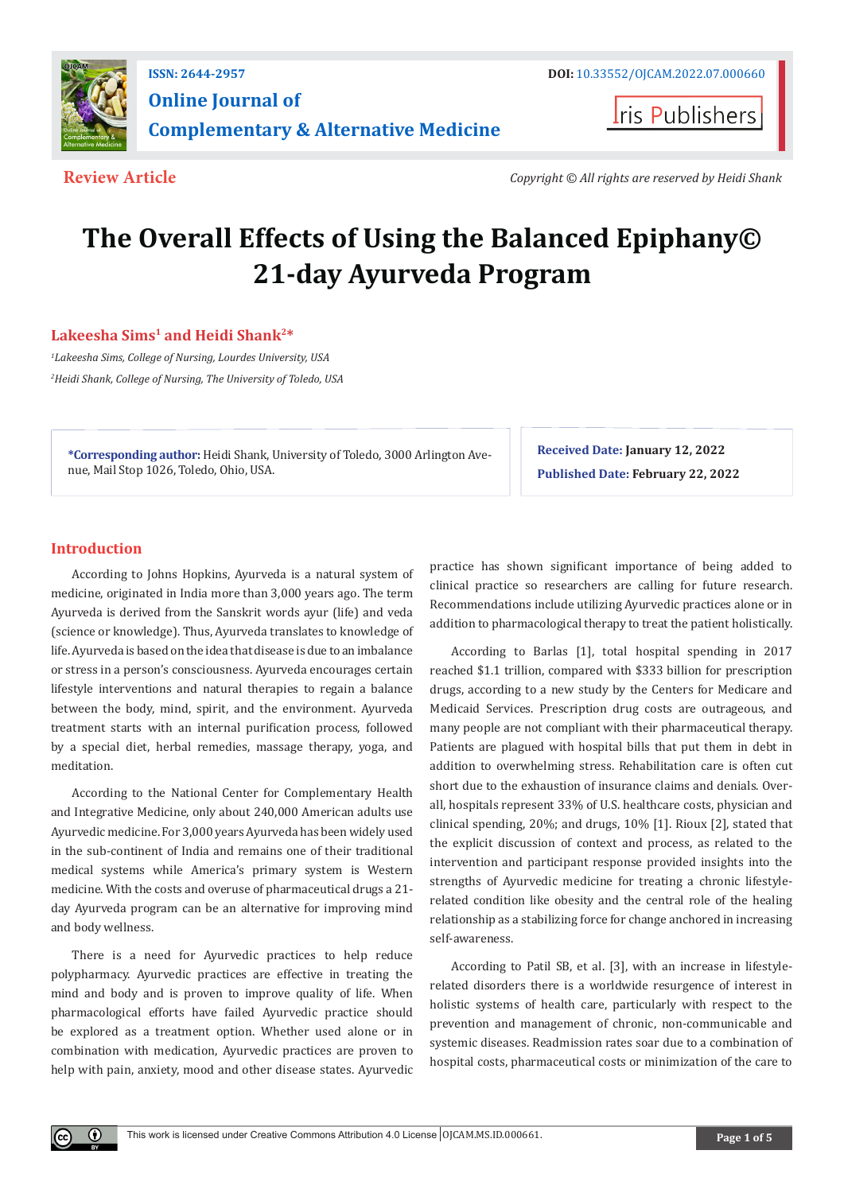

**Iris Publishers** 

**Review Article** *Copyright © All rights are reserved by Heidi Shank*

# **The Overall Effects of Using the Balanced Epiphany© 21-day Ayurveda Program**

# **Lakeesha Sims1 and Heidi Shank2\***

*1 Lakeesha Sims, College of Nursing, Lourdes University, USA 2 Heidi Shank, College of Nursing, The University of Toledo, USA* 

**\*Corresponding author:** Heidi Shank, University of Toledo, 3000 Arlington Avenue, Mail Stop 1026, Toledo, Ohio, USA.

**Received Date: January 12, 2022 Published Date: February 22, 2022**

# **Introduction**

 $\bf \odot$ 

According to Johns Hopkins, Ayurveda is a natural system of medicine, originated in India more than 3,000 years ago. The term Ayurveda is derived from the Sanskrit words ayur (life) and veda (science or knowledge). Thus, Ayurveda translates to knowledge of life. Ayurveda is based on the idea that disease is due to an imbalance or stress in a person's consciousness. Ayurveda encourages certain lifestyle interventions and natural therapies to regain a balance between the body, mind, spirit, and the environment. Ayurveda treatment starts with an internal purification process, followed by a special diet, herbal remedies, massage therapy, yoga, and meditation.

According to the National Center for Complementary Health and Integrative Medicine, only about 240,000 American adults use Ayurvedic medicine. For 3,000 years Ayurveda has been widely used in the sub-continent of India and remains one of their traditional medical systems while America's primary system is Western medicine. With the costs and overuse of pharmaceutical drugs a 21 day Ayurveda program can be an alternative for improving mind and body wellness.

There is a need for Ayurvedic practices to help reduce polypharmacy. Ayurvedic practices are effective in treating the mind and body and is proven to improve quality of life. When pharmacological efforts have failed Ayurvedic practice should be explored as a treatment option. Whether used alone or in combination with medication, Ayurvedic practices are proven to help with pain, anxiety, mood and other disease states. Ayurvedic practice has shown significant importance of being added to clinical practice so researchers are calling for future research. Recommendations include utilizing Ayurvedic practices alone or in addition to pharmacological therapy to treat the patient holistically.

According to Barlas [1], total hospital spending in 2017 reached \$1.1 trillion, compared with \$333 billion for prescription drugs, according to a new study by the Centers for Medicare and Medicaid Services. Prescription drug costs are outrageous, and many people are not compliant with their pharmaceutical therapy. Patients are plagued with hospital bills that put them in debt in addition to overwhelming stress. Rehabilitation care is often cut short due to the exhaustion of insurance claims and denials. Overall, hospitals represent 33% of U.S. healthcare costs, physician and clinical spending, 20%; and drugs, 10% [1]. Rioux [2], stated that the explicit discussion of context and process, as related to the intervention and participant response provided insights into the strengths of Ayurvedic medicine for treating a chronic lifestylerelated condition like obesity and the central role of the healing relationship as a stabilizing force for change anchored in increasing self-awareness.

According to Patil SB, et al. [3], with an increase in lifestylerelated disorders there is a worldwide resurgence of interest in holistic systems of health care, particularly with respect to the prevention and management of chronic, non-communicable and systemic diseases. Readmission rates soar due to a combination of hospital costs, pharmaceutical costs or minimization of the care to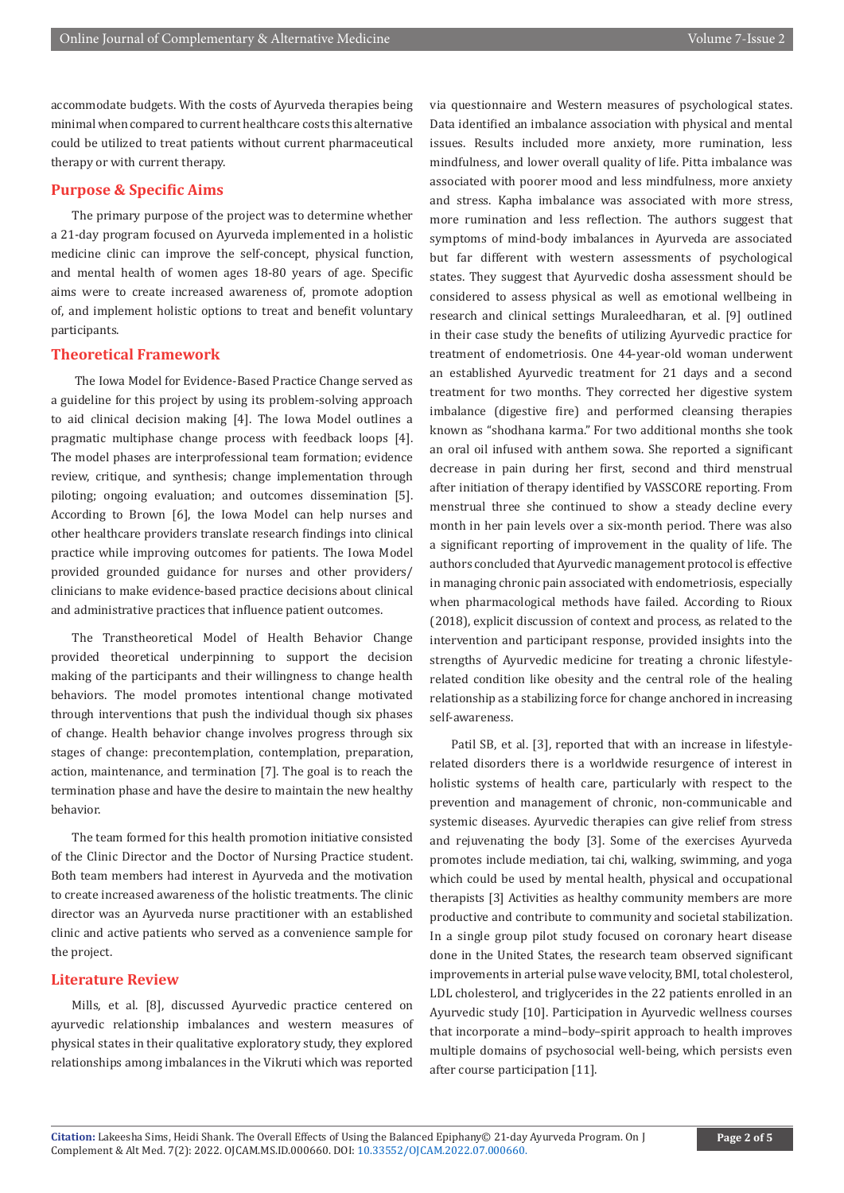accommodate budgets. With the costs of Ayurveda therapies being minimal when compared to current healthcare costs this alternative could be utilized to treat patients without current pharmaceutical therapy or with current therapy.

#### **Purpose & Specific Aims**

The primary purpose of the project was to determine whether a 21-day program focused on Ayurveda implemented in a holistic medicine clinic can improve the self-concept, physical function, and mental health of women ages 18-80 years of age. Specific aims were to create increased awareness of, promote adoption of, and implement holistic options to treat and benefit voluntary participants.

# **Theoretical Framework**

 The Iowa Model for Evidence-Based Practice Change served as a guideline for this project by using its problem-solving approach to aid clinical decision making [4]. The Iowa Model outlines a pragmatic multiphase change process with feedback loops [4]. The model phases are interprofessional team formation; evidence review, critique, and synthesis; change implementation through piloting; ongoing evaluation; and outcomes dissemination [5]. According to Brown [6], the Iowa Model can help nurses and other healthcare providers translate research findings into clinical practice while improving outcomes for patients. The Iowa Model provided grounded guidance for nurses and other providers/ clinicians to make evidence-based practice decisions about clinical and administrative practices that influence patient outcomes.

The Transtheoretical Model of Health Behavior Change provided theoretical underpinning to support the decision making of the participants and their willingness to change health behaviors. The model promotes intentional change motivated through interventions that push the individual though six phases of change. Health behavior change involves progress through six stages of change: precontemplation, contemplation, preparation, action, maintenance, and termination [7]. The goal is to reach the termination phase and have the desire to maintain the new healthy behavior.

The team formed for this health promotion initiative consisted of the Clinic Director and the Doctor of Nursing Practice student. Both team members had interest in Ayurveda and the motivation to create increased awareness of the holistic treatments. The clinic director was an Ayurveda nurse practitioner with an established clinic and active patients who served as a convenience sample for the project.

# **Literature Review**

Mills, et al. [8], discussed Ayurvedic practice centered on ayurvedic relationship imbalances and western measures of physical states in their qualitative exploratory study, they explored relationships among imbalances in the Vikruti which was reported

via questionnaire and Western measures of psychological states. Data identified an imbalance association with physical and mental issues. Results included more anxiety, more rumination, less mindfulness, and lower overall quality of life. Pitta imbalance was associated with poorer mood and less mindfulness, more anxiety and stress. Kapha imbalance was associated with more stress, more rumination and less reflection. The authors suggest that symptoms of mind-body imbalances in Ayurveda are associated but far different with western assessments of psychological states. They suggest that Ayurvedic dosha assessment should be considered to assess physical as well as emotional wellbeing in research and clinical settings Muraleedharan, et al. [9] outlined in their case study the benefits of utilizing Ayurvedic practice for treatment of endometriosis. One 44-year-old woman underwent an established Ayurvedic treatment for 21 days and a second treatment for two months. They corrected her digestive system imbalance (digestive fire) and performed cleansing therapies known as "shodhana karma." For two additional months she took an oral oil infused with anthem sowa. She reported a significant decrease in pain during her first, second and third menstrual after initiation of therapy identified by VASSCORE reporting. From menstrual three she continued to show a steady decline every month in her pain levels over a six-month period. There was also a significant reporting of improvement in the quality of life. The authors concluded that Ayurvedic management protocol is effective in managing chronic pain associated with endometriosis, especially when pharmacological methods have failed. According to Rioux (2018), explicit discussion of context and process, as related to the intervention and participant response, provided insights into the strengths of Ayurvedic medicine for treating a chronic lifestylerelated condition like obesity and the central role of the healing relationship as a stabilizing force for change anchored in increasing self-awareness.

Patil SB, et al. [3], reported that with an increase in lifestylerelated disorders there is a worldwide resurgence of interest in holistic systems of health care, particularly with respect to the prevention and management of chronic, non-communicable and systemic diseases. Ayurvedic therapies can give relief from stress and rejuvenating the body [3]. Some of the exercises Ayurveda promotes include mediation, tai chi, walking, swimming, and yoga which could be used by mental health, physical and occupational therapists [3] Activities as healthy community members are more productive and contribute to community and societal stabilization. In a single group pilot study focused on coronary heart disease done in the United States, the research team observed significant improvements in arterial pulse wave velocity, BMI, total cholesterol, LDL cholesterol, and triglycerides in the 22 patients enrolled in an Ayurvedic study [10]. Participation in Ayurvedic wellness courses that incorporate a mind–body–spirit approach to health improves multiple domains of psychosocial well-being, which persists even after course participation [11].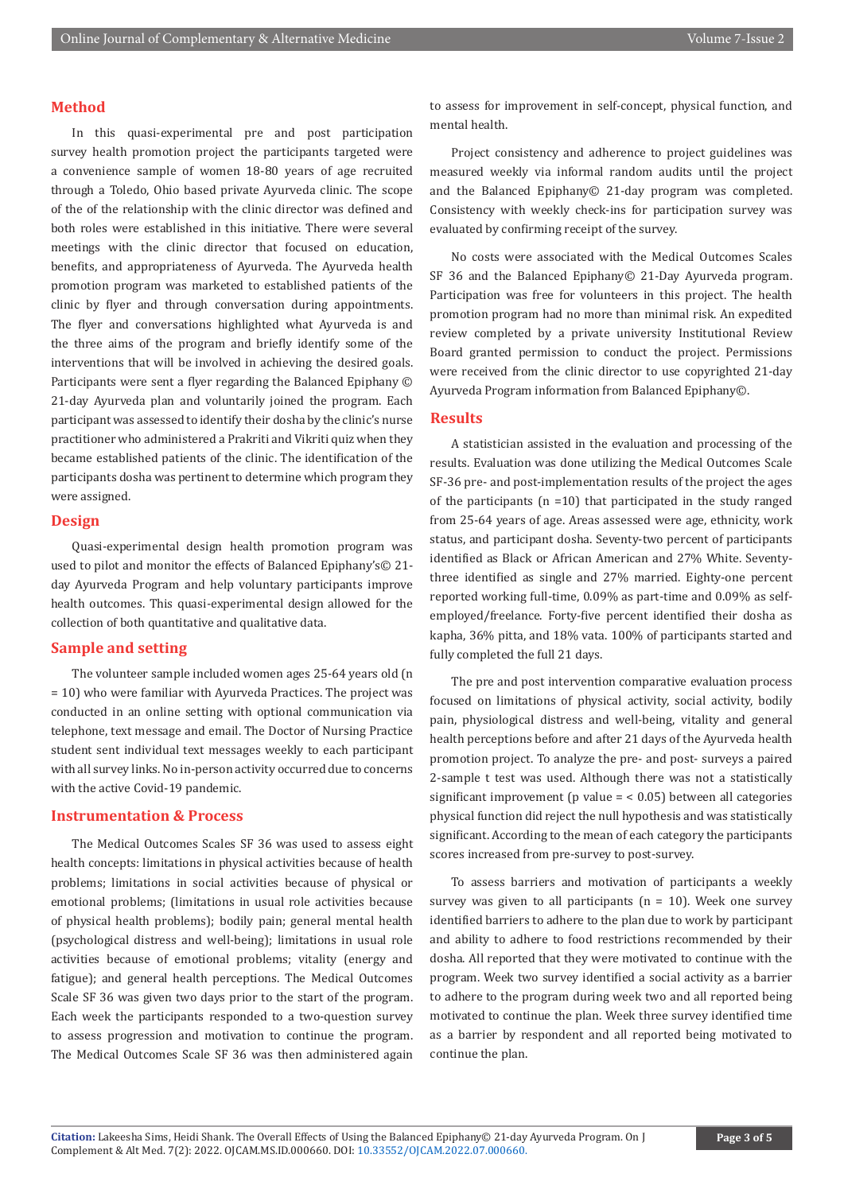#### **Method**

In this quasi-experimental pre and post participation survey health promotion project the participants targeted were a convenience sample of women 18-80 years of age recruited through a Toledo, Ohio based private Ayurveda clinic. The scope of the of the relationship with the clinic director was defined and both roles were established in this initiative. There were several meetings with the clinic director that focused on education, benefits, and appropriateness of Ayurveda. The Ayurveda health promotion program was marketed to established patients of the clinic by flyer and through conversation during appointments. The flyer and conversations highlighted what Ayurveda is and the three aims of the program and briefly identify some of the interventions that will be involved in achieving the desired goals. Participants were sent a flyer regarding the Balanced Epiphany © 21-day Ayurveda plan and voluntarily joined the program. Each participant was assessed to identify their dosha by the clinic's nurse practitioner who administered a Prakriti and Vikriti quiz when they became established patients of the clinic. The identification of the participants dosha was pertinent to determine which program they were assigned.

# **Design**

Quasi-experimental design health promotion program was used to pilot and monitor the effects of Balanced Epiphany's© 21 day Ayurveda Program and help voluntary participants improve health outcomes. This quasi-experimental design allowed for the collection of both quantitative and qualitative data.

# **Sample and setting**

The volunteer sample included women ages 25-64 years old (n = 10) who were familiar with Ayurveda Practices. The project was conducted in an online setting with optional communication via telephone, text message and email. The Doctor of Nursing Practice student sent individual text messages weekly to each participant with all survey links. No in-person activity occurred due to concerns with the active Covid-19 pandemic.

# **Instrumentation & Process**

The Medical Outcomes Scales SF 36 was used to assess eight health concepts: limitations in physical activities because of health problems; limitations in social activities because of physical or emotional problems; (limitations in usual role activities because of physical health problems); bodily pain; general mental health (psychological distress and well-being); limitations in usual role activities because of emotional problems; vitality (energy and fatigue); and general health perceptions. The Medical Outcomes Scale SF 36 was given two days prior to the start of the program. Each week the participants responded to a two-question survey to assess progression and motivation to continue the program. The Medical Outcomes Scale SF 36 was then administered again

to assess for improvement in self-concept, physical function, and mental health.

Project consistency and adherence to project guidelines was measured weekly via informal random audits until the project and the Balanced Epiphany© 21-day program was completed. Consistency with weekly check-ins for participation survey was evaluated by confirming receipt of the survey.

No costs were associated with the Medical Outcomes Scales SF 36 and the Balanced Epiphany© 21-Day Ayurveda program. Participation was free for volunteers in this project. The health promotion program had no more than minimal risk. An expedited review completed by a private university Institutional Review Board granted permission to conduct the project. Permissions were received from the clinic director to use copyrighted 21-day Ayurveda Program information from Balanced Epiphany©.

#### **Results**

A statistician assisted in the evaluation and processing of the results. Evaluation was done utilizing the Medical Outcomes Scale SF-36 pre- and post-implementation results of the project the ages of the participants ( $n = 10$ ) that participated in the study ranged from 25-64 years of age. Areas assessed were age, ethnicity, work status, and participant dosha. Seventy-two percent of participants identified as Black or African American and 27% White. Seventythree identified as single and 27% married. Eighty-one percent reported working full-time, 0.09% as part-time and 0.09% as selfemployed/freelance. Forty-five percent identified their dosha as kapha, 36% pitta, and 18% vata. 100% of participants started and fully completed the full 21 days.

The pre and post intervention comparative evaluation process focused on limitations of physical activity, social activity, bodily pain, physiological distress and well-being, vitality and general health perceptions before and after 21 days of the Ayurveda health promotion project. To analyze the pre- and post- surveys a paired 2-sample t test was used. Although there was not a statistically significant improvement (p value  $=$  < 0.05) between all categories physical function did reject the null hypothesis and was statistically significant. According to the mean of each category the participants scores increased from pre-survey to post-survey.

To assess barriers and motivation of participants a weekly survey was given to all participants ( $n = 10$ ). Week one survey identified barriers to adhere to the plan due to work by participant and ability to adhere to food restrictions recommended by their dosha. All reported that they were motivated to continue with the program. Week two survey identified a social activity as a barrier to adhere to the program during week two and all reported being motivated to continue the plan. Week three survey identified time as a barrier by respondent and all reported being motivated to continue the plan.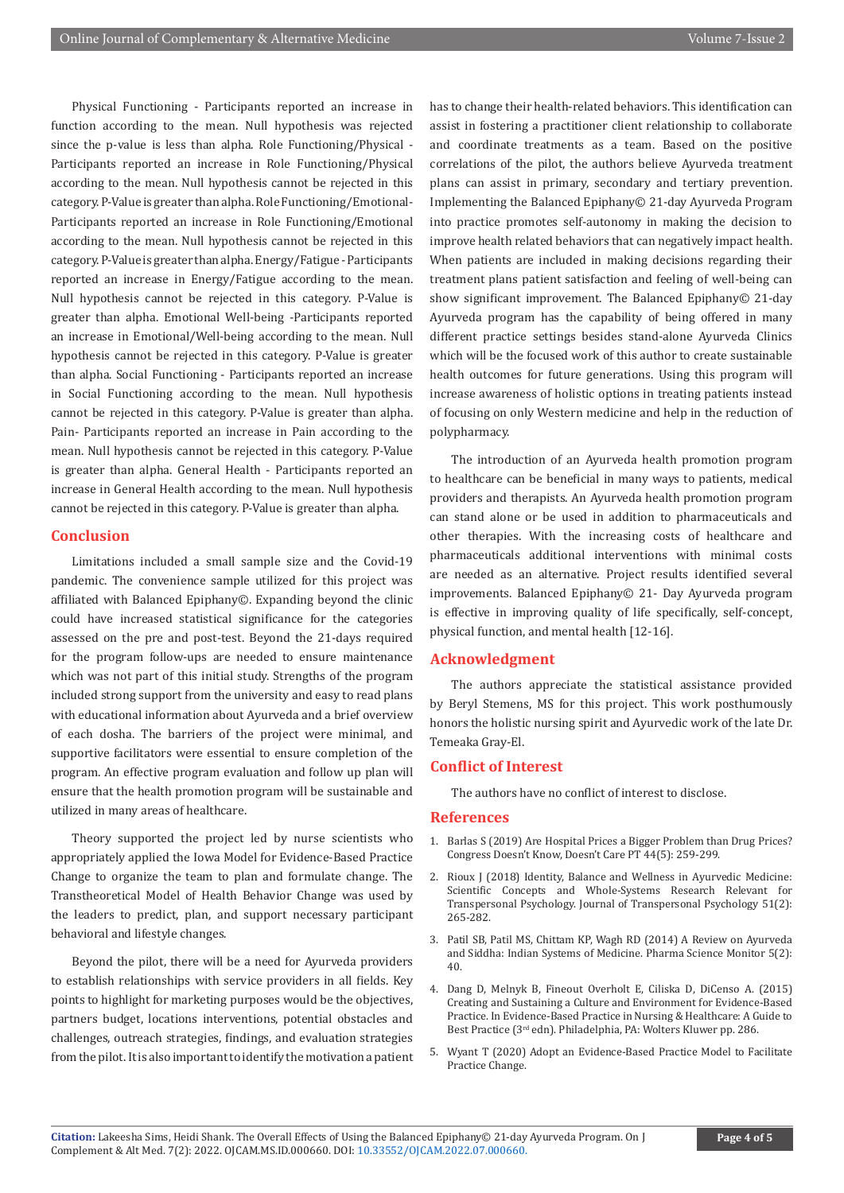Physical Functioning - Participants reported an increase in function according to the mean. Null hypothesis was rejected since the p-value is less than alpha. Role Functioning/Physical - Participants reported an increase in Role Functioning/Physical according to the mean. Null hypothesis cannot be rejected in this category. P-Value is greater than alpha. Role Functioning/Emotional-Participants reported an increase in Role Functioning/Emotional according to the mean. Null hypothesis cannot be rejected in this category. P-Value is greater than alpha. Energy/Fatigue - Participants reported an increase in Energy/Fatigue according to the mean. Null hypothesis cannot be rejected in this category. P-Value is greater than alpha. Emotional Well-being -Participants reported an increase in Emotional/Well-being according to the mean. Null hypothesis cannot be rejected in this category. P-Value is greater than alpha. Social Functioning - Participants reported an increase in Social Functioning according to the mean. Null hypothesis cannot be rejected in this category. P-Value is greater than alpha. Pain- Participants reported an increase in Pain according to the mean. Null hypothesis cannot be rejected in this category. P-Value is greater than alpha. General Health - Participants reported an increase in General Health according to the mean. Null hypothesis cannot be rejected in this category. P-Value is greater than alpha.

#### **Conclusion**

Limitations included a small sample size and the Covid-19 pandemic. The convenience sample utilized for this project was affiliated with Balanced Epiphany©. Expanding beyond the clinic could have increased statistical significance for the categories assessed on the pre and post-test. Beyond the 21-days required for the program follow-ups are needed to ensure maintenance which was not part of this initial study. Strengths of the program included strong support from the university and easy to read plans with educational information about Ayurveda and a brief overview of each dosha. The barriers of the project were minimal, and supportive facilitators were essential to ensure completion of the program. An effective program evaluation and follow up plan will ensure that the health promotion program will be sustainable and utilized in many areas of healthcare.

Theory supported the project led by nurse scientists who appropriately applied the Iowa Model for Evidence-Based Practice Change to organize the team to plan and formulate change. The Transtheoretical Model of Health Behavior Change was used by the leaders to predict, plan, and support necessary participant behavioral and lifestyle changes.

Beyond the pilot, there will be a need for Ayurveda providers to establish relationships with service providers in all fields. Key points to highlight for marketing purposes would be the objectives, partners budget, locations interventions, potential obstacles and challenges, outreach strategies, findings, and evaluation strategies from the pilot. It is also important to identify the motivation a patient

has to change their health-related behaviors. This identification can assist in fostering a practitioner client relationship to collaborate and coordinate treatments as a team. Based on the positive correlations of the pilot, the authors believe Ayurveda treatment plans can assist in primary, secondary and tertiary prevention. Implementing the Balanced Epiphany© 21-day Ayurveda Program into practice promotes self-autonomy in making the decision to improve health related behaviors that can negatively impact health. When patients are included in making decisions regarding their treatment plans patient satisfaction and feeling of well-being can show significant improvement. The Balanced Epiphany© 21-day Ayurveda program has the capability of being offered in many different practice settings besides stand-alone Ayurveda Clinics which will be the focused work of this author to create sustainable health outcomes for future generations. Using this program will increase awareness of holistic options in treating patients instead of focusing on only Western medicine and help in the reduction of polypharmacy.

The introduction of an Ayurveda health promotion program to healthcare can be beneficial in many ways to patients, medical providers and therapists. An Ayurveda health promotion program can stand alone or be used in addition to pharmaceuticals and other therapies. With the increasing costs of healthcare and pharmaceuticals additional interventions with minimal costs are needed as an alternative. Project results identified several improvements. Balanced Epiphany© 21- Day Ayurveda program is effective in improving quality of life specifically, self-concept, physical function, and mental health [12-16].

#### **Acknowledgment**

The authors appreciate the statistical assistance provided by Beryl Stemens, MS for this project. This work posthumously honors the holistic nursing spirit and Ayurvedic work of the late Dr. Temeaka Gray-El.

# **Conflict of Interest**

The authors have no conflict of interest to disclose.

#### **References**

- 1. [Barlas S \(2019\) Are Hospital Prices a Bigger Problem than Drug Prices?](https://pubmed.ncbi.nlm.nih.gov/31080334/) [Congress Doesn't Know, Doesn't Care PT 44\(5\): 259-299.](https://pubmed.ncbi.nlm.nih.gov/31080334/)
- 2. Rioux J (2018) Identity, Balance and Wellness in Ayurvedic Medicine: Scientific Concepts and Whole-Systems Research Relevant for Transpersonal Psychology. Journal of Transpersonal Psychology 51(2): 265-282.
- 3. Patil SB, Patil MS, Chittam KP, Wagh RD (2014) A Review on Ayurveda and Siddha: Indian Systems of Medicine. Pharma Science Monitor 5(2): 40.
- 4. Dang D, Melnyk B, Fineout Overholt E, Ciliska D, DiCenso A. (2015) Creating and Sustaining a Culture and Environment for Evidence-Based Practice. In Evidence-Based Practice in Nursing & Healthcare: A Guide to Best Practice (3rd edn). Philadelphia, PA: Wolters Kluwer pp. 286.
- 5. [Wyant T \(2020\) Adopt an Evidence-Based Practice Model to Facilitate](https://voice.ons.org/news-and-views/adopt-an-evidence-based-practice-model-to-facilitate-practice-change) [Practice Change.](https://voice.ons.org/news-and-views/adopt-an-evidence-based-practice-model-to-facilitate-practice-change)